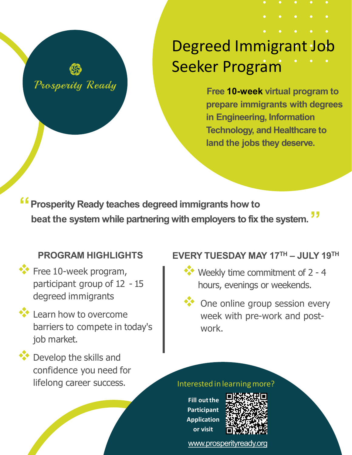## Prosperity Ready

# Degreed Immigrant Job Seeker Program

**Free 10-week virtual program to prepare immigrants with degrees in Engineering, Information Technology, and Healthcare to land the jobs they deserve.**

**"Prosperity Ready teaches degreed immigrants how to beat the system while partnering with employers to fix the system. "**

## **PROGRAM HIGHLIGHTS**

- **Free 10-week program,** participant group of 12 - 15 degreed immigrants
- **Learn how to overcome** barriers to compete in today's job market.
- **Develop the skills and** confidence you need for lifelong career success.

## **EVERY TUESDAY MAY 17TH – JULY 19TH**

- Weekly time commitment of 2 4 hours, evenings or weekends.
- One online group session every week with pre-work and postwork.

#### Interested in learningmore?

**Fill outthe Participant Application or visit**



[www.prosperityready.org](http://www.prosperityready.org/)